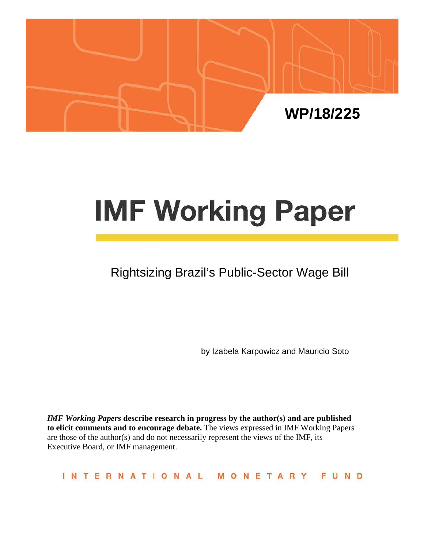

# **IMF Working Paper**

# Rightsizing Brazil's Public-Sector Wage Bill

by Izabela Karpowicz and Mauricio Soto

*IMF Working Papers* **describe research in progress by the author(s) and are published to elicit comments and to encourage debate.** The views expressed in IMF Working Papers are those of the author(s) and do not necessarily represent the views of the IMF, its Executive Board, or IMF management.

**INTERNATIONAL** MONETARY FUND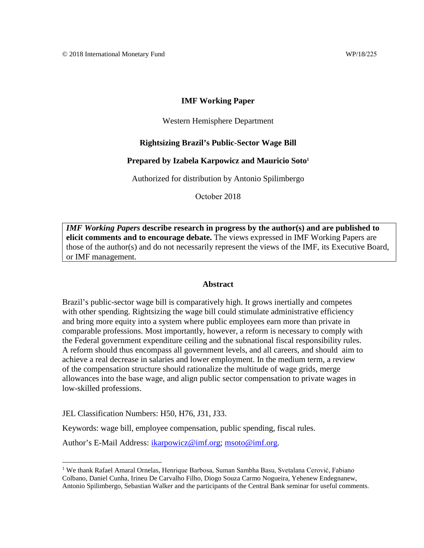#### **IMF Working Paper**

#### Western Hemisphere Department

#### **Rightsizing Brazil's Public-Sector Wage Bill**

#### **Prepared by Izabela Karpowicz and Mauricio Soto [1](#page-1-0)**

Authorized for distribution by Antonio Spilimbergo

October 2018

*IMF Working Papers* **describe research in progress by the author(s) and are published to elicit comments and to encourage debate.** The views expressed in IMF Working Papers are those of the author(s) and do not necessarily represent the views of the IMF, its Executive Board, or IMF management.

#### **Abstract**

Brazil's public-sector wage bill is comparatively high. It grows inertially and competes with other spending. Rightsizing the wage bill could stimulate administrative efficiency and bring more equity into a system where public employees earn more than private in comparable professions. Most importantly, however, a reform is necessary to comply with the Federal government expenditure ceiling and the subnational fiscal responsibility rules. A reform should thus encompass all government levels, and all careers, and should aim to achieve a real decrease in salaries and lower employment. In the medium term, a review of the compensation structure should rationalize the multitude of wage grids, merge allowances into the base wage, and align public sector compensation to private wages in low-skilled professions.

JEL Classification Numbers: H50, H76, J31, J33.

Keywords: wage bill, employee compensation, public spending, fiscal rules.

Author's E-Mail Address: [ikarpowicz@imf.org;](mailto:ikarpowicz@imf.org) [msoto@imf.org.](mailto:msoto@imf.org)

<span id="page-1-0"></span><sup>&</sup>lt;sup>1</sup> We thank Rafael Amaral Ornelas, Henrique Barbosa, Suman Sambha Basu, Svetalana Cerović, Fabiano Colbano, Daniel Cunha, Irineu De Carvalho Filho, Diogo Souza Carmo Nogueira, Yehenew Endegnanew, Antonio Spilimbergo, Sebastian Walker and the participants of the Central Bank seminar for useful comments.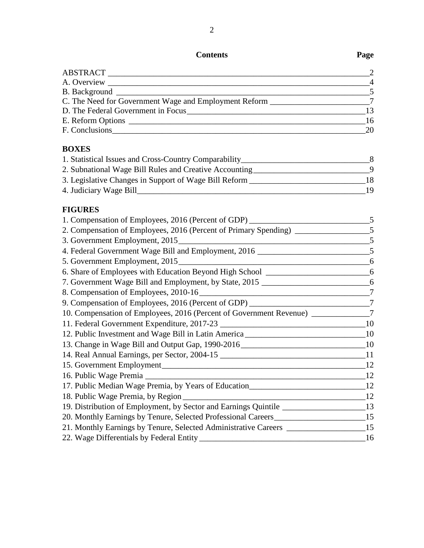# **Contents Page**

|                                                          | $\overline{2}$ |
|----------------------------------------------------------|----------------|
|                                                          | $\overline{4}$ |
|                                                          | $\overline{5}$ |
| C. The Need for Government Wage and Employment Reform 27 |                |
| D. The Federal Government in Focus                       | 13             |
| E. Reform Options                                        | 16             |
| F. Conclusions                                           | 20             |
|                                                          |                |
| <b>BOXES</b>                                             |                |

| 1. Statistical Issues and Cross-Country Comparability_ |    |
|--------------------------------------------------------|----|
| 2. Subnational Wage Bill Rules and Creative Accounting |    |
| 3. Legislative Changes in Support of Wage Bill Reform  | 18 |
| 4. Judiciary Wage Bill                                 | 19 |

## **FIGURES**

| 1. Compensation of Employees, 2016 (Percent of GDP) ____________________________     | 5       |
|--------------------------------------------------------------------------------------|---------|
| 2. Compensation of Employees, 2016 (Percent of Primary Spending) _______________     | .5      |
|                                                                                      |         |
| 4. Federal Government Wage Bill and Employment, 2016                                 |         |
| 5. Government Employment, 2015                                                       | 6       |
| 6. Share of Employees with Education Beyond High School ________________________     | 6       |
|                                                                                      |         |
|                                                                                      |         |
| 9. Compensation of Employees, 2016 (Percent of GDP) ____________________________     | 7       |
| 10. Compensation of Employees, 2016 (Percent of Government Revenue) _____________7   |         |
|                                                                                      | 10      |
| 12. Public Investment and Wage Bill in Latin America ___________________________     | $_{10}$ |
|                                                                                      |         |
|                                                                                      |         |
|                                                                                      | 12      |
|                                                                                      | 12      |
| 17. Public Median Wage Premia, by Years of Education______________________________12 |         |
|                                                                                      | 12      |
| 19. Distribution of Employment, by Sector and Earnings Quintile _________________13  |         |
| 20. Monthly Earnings by Tenure, Selected Professional Careers_____________________15 |         |
| 21. Monthly Earnings by Tenure, Selected Administrative Careers _________________15  |         |
|                                                                                      | - 16    |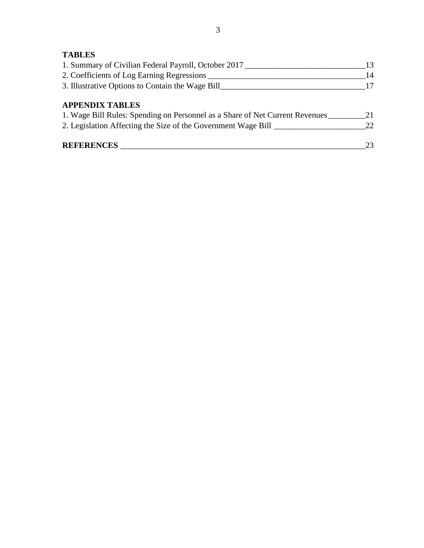# **TABLES**

| 1. Summary of Civilian Federal Payroll, October 2017                         | 13  |
|------------------------------------------------------------------------------|-----|
| 2. Coefficients of Log Earning Regressions                                   | 14  |
| 3. Illustrative Options to Contain the Wage Bill                             | 17  |
| <b>APPENDIX TABLES</b>                                                       |     |
| 1. Wage Bill Rules: Spending on Personnel as a Share of Net Current Revenues | 21  |
| 2. Legislation Affecting the Size of the Government Wage Bill                | 22. |
| <b>REFERENCES</b>                                                            | 23  |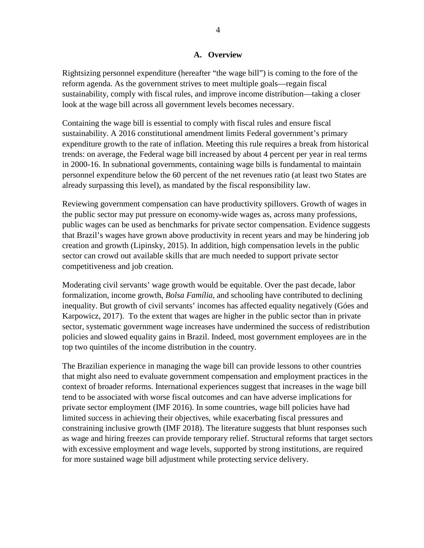#### **A. Overview**

Rightsizing personnel expenditure (hereafter "the wage bill") is coming to the fore of the reform agenda. As the government strives to meet multiple goals—regain fiscal sustainability, comply with fiscal rules, and improve income distribution—taking a closer look at the wage bill across all government levels becomes necessary.

Containing the wage bill is essential to comply with fiscal rules and ensure fiscal sustainability. A 2016 constitutional amendment limits Federal government's primary expenditure growth to the rate of inflation. Meeting this rule requires a break from historical trends: on average, the Federal wage bill increased by about 4 percent per year in real terms in 2000-16. In subnational governments, containing wage bills is fundamental to maintain personnel expenditure below the 60 percent of the net revenues ratio (at least two States are already surpassing this level), as mandated by the fiscal responsibility law.

Reviewing government compensation can have productivity spillovers. Growth of wages in the public sector may put pressure on economy-wide wages as, across many professions, public wages can be used as benchmarks for private sector compensation. Evidence suggests that Brazil's wages have grown above productivity in recent years and may be hindering job creation and growth (Lipinsky, 2015). In addition, high compensation levels in the public sector can crowd out available skills that are much needed to support private sector competitiveness and job creation.

Moderating civil servants' wage growth would be equitable. Over the past decade, labor formalization, income growth, *Bolsa Família*, and schooling have contributed to declining inequality. But growth of civil servants' incomes has affected equality negatively (Góes and Karpowicz, 2017). To the extent that wages are higher in the public sector than in private sector, systematic government wage increases have undermined the success of redistribution policies and slowed equality gains in Brazil. Indeed, most government employees are in the top two quintiles of the income distribution in the country.

The Brazilian experience in managing the wage bill can provide lessons to other countries that might also need to evaluate government compensation and employment practices in the context of broader reforms. International experiences suggest that increases in the wage bill tend to be associated with worse fiscal outcomes and can have adverse implications for private sector employment (IMF 2016). In some countries, wage bill policies have had limited success in achieving their objectives, while exacerbating fiscal pressures and constraining inclusive growth (IMF 2018). The literature suggests that blunt responses such as wage and hiring freezes can provide temporary relief. Structural reforms that target sectors with excessive employment and wage levels, supported by strong institutions, are required for more sustained wage bill adjustment while protecting service delivery.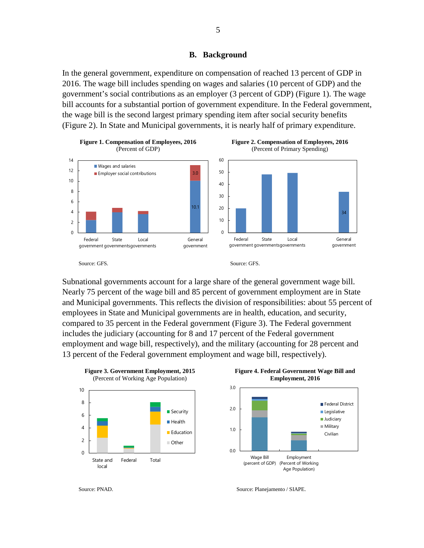#### **B. Background**

In the general government, expenditure on compensation of reached 13 percent of GDP in 2016. The wage bill includes spending on wages and salaries (10 percent of GDP) and the government's social contributions as an employer (3 percent of GDP) (Figure 1). The wage bill accounts for a substantial portion of government expenditure. In the Federal government, the wage bill is the second largest primary spending item after social security benefits (Figure 2). In State and Municipal governments, it is nearly half of primary expenditure.



Subnational governments account for a large share of the general government wage bill. Nearly 75 percent of the wage bill and 85 percent of government employment are in State and Municipal governments. This reflects the division of responsibilities: about 55 percent of employees in State and Municipal governments are in health, education, and security, compared to 35 percent in the Federal government (Figure 3). The Federal government includes the judiciary (accounting for 8 and 17 percent of the Federal government employment and wage bill, respectively), and the military (accounting for 28 percent and 13 percent of the Federal government employment and wage bill, respectively).





Source: PNAD. Source: PNAD.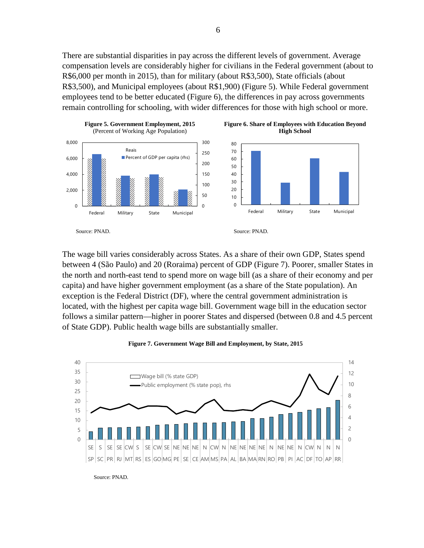There are substantial disparities in pay across the different levels of government. Average compensation levels are considerably higher for civilians in the Federal government (about to R\$6,000 per month in 2015), than for military (about R\$3,500), State officials (about R\$3,500), and Municipal employees (about R\$1,900) (Figure 5). While Federal government employees tend to be better educated (Figure 6), the differences in pay across governments remain controlling for schooling, with wider differences for those with high school or more.



The wage bill varies considerably across States. As a share of their own GDP, States spend between 4 (São Paulo) and 20 (Roraima) percent of GDP (Figure 7). Poorer, smaller States in the north and north-east tend to spend more on wage bill (as a share of their economy and per capita) and have higher government employment (as a share of the State population). An exception is the Federal District (DF), where the central government administration is located, with the highest per capita wage bill. Government wage bill in the education sector follows a similar pattern—higher in poorer States and dispersed (between 0.8 and 4.5 percent of State GDP). Public health wage bills are substantially smaller.



**Figure 7. Government Wage Bill and Employment, by State, 2015**

6

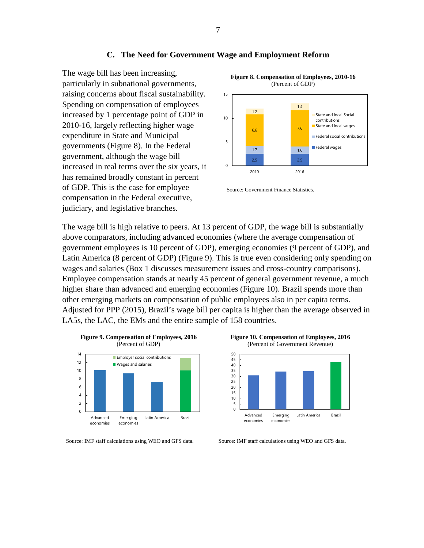#### **C. The Need for Government Wage and Employment Reform**

The wage bill has been increasing, particularly in subnational governments, raising concerns about fiscal sustainability. Spending on compensation of employees increased by 1 percentage point of GDP in 2010-16, largely reflecting higher wage expenditure in State and Municipal governments (Figure 8). In the Federal government, although the wage bill increased in real terms over the six years, it has remained broadly constant in percent of GDP. This is the case for employee compensation in the Federal executive, judiciary, and legislative branches.



Source: Government Finance Statistics.

The wage bill is high relative to peers. At 13 percent of GDP, the wage bill is substantially above comparators, including advanced economies (where the average compensation of government employees is 10 percent of GDP), emerging economies (9 percent of GDP), and Latin America (8 percent of GDP) (Figure 9). This is true even considering only spending on wages and salaries (Box 1 discusses measurement issues and cross-country comparisons). Employee compensation stands at nearly 45 percent of general government revenue, a much higher share than advanced and emerging economies (Figure 10). Brazil spends more than other emerging markets on compensation of public employees also in per capita terms. Adjusted for PPP (2015), Brazil's wage bill per capita is higher than the average observed in LA5s, the LAC, the EMs and the entire sample of 158 countries.



Source: IMF staff calculations using WEO and GFS data. Source: IMF staff calculations using WEO and GFS data.



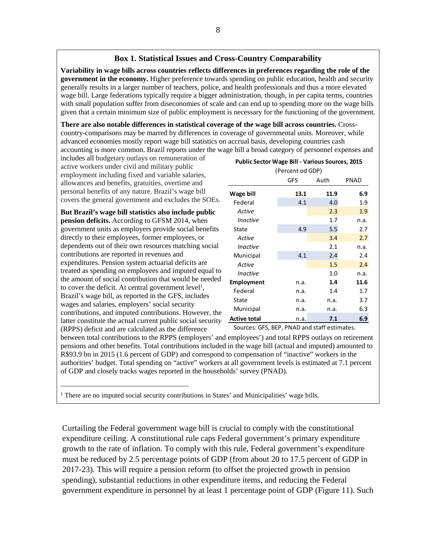#### **Box 1. Statistical Issues and Cross-Country Comparability**

**Variability in wage bills across countries reflects differences in preferences regarding the role of the government in the economy.** Higher preference towards spending on public education, health and security generally results in a larger number of teachers, police, and health professionals and thus a more elevated wage bill. Large federations typically require a bigger administration, though, in per capita terms, countries with small population suffer from diseconomies of scale and can end up to spending more on the wage bills given that a certain minimum size of public employment is necessary for the functioning of the government.

**There are also notable differences in statistical coverage of the wage bill across countries.** Crosscountry-comparisons may be marred by differences in coverage of governmental units. Moreover, while advanced economies mostly report wage bill statistics on accrual basis, developing countries cash accounting is more common. Brazil reports under the wage bill a broad category of personnel expenses and

includes all budgetary outlays on remuneration of active workers under civil and military public employment including fixed and variable salaries, allowances and benefits, gratuities, overtime and personal benefits of any nature. Brazil's wage bill covers the general government and excludes the SOEs.

**But Brazil's wage bill statistics also include public pension deficits.** According to GFSM 2014, when government units as employers provide social benefits directly to their employees, former employees, or dependents out of their own resources matching social contributions are reported in revenues and expenditures. Pension system actuarial deficits are treated as spending on employees and imputed equal to the amount of social contribution that would be needed to cover the deficit. At central government level<sup>1</sup>, Brazil's wage bill, as reported in the GFS, includes wages and salaries, employers' social security contributions, and imputed contributions. However, the latter constitute the actual current public social security (RPPS) deficit and are calculated as the difference

\_\_\_\_\_\_\_\_\_\_\_\_\_\_\_\_\_\_\_\_\_\_\_\_\_\_\_\_\_\_\_\_\_\_\_\_\_

| (Percent od GDP) |      |      |      |  |  |  |
|------------------|------|------|------|--|--|--|
|                  | GFS  | Auth | PNAD |  |  |  |
| Wage bill        | 13.1 | 11.9 | 6.9  |  |  |  |
| Federal          | 4.1  | 4.0  | 1.9  |  |  |  |
| Active           |      | 2.3  | 1.9  |  |  |  |
| Inactive         |      | 1.7  | n.a. |  |  |  |
| State            | 4.9  | 5.5  | 2.7  |  |  |  |
| Active           |      | 3.4  | 2.7  |  |  |  |
| Inactive         |      | 2.1  | n.a. |  |  |  |
| Municipal        | 4.1  | 2.4  | 2.4  |  |  |  |
| Active           |      | 1.5  | 2.4  |  |  |  |
| Inactive         |      | 1.0  | n.a. |  |  |  |
| Employment       | n.a. | 1.4  | 11.6 |  |  |  |
| Federal          | n.a. | 1.4  | 1.7  |  |  |  |
| State            | n.a. | n.a. | 3.7  |  |  |  |
| Municipal        | n.a. | n.a. | 6.3  |  |  |  |
| Active total     | n.a. | 7.1  | 6.9  |  |  |  |

**Public Sector Wage Bill - Various Sources, 2015**

Sources: GFS, BEP, PNAD and staff estimates.

between total contributions to the RPPS (employers' and employees') and total RPPS outlays on retirement pensions and other benefits. Total contributions included in the wage bill (actual and imputed) amounted to R\$93.9 bn in 2015 (1.6 percent of GDP) and correspond to compensation of "inactive" workers in the authorities' budget. Total spending on "active" workers at all government levels is estimated at 7.1 percent of GDP and closely tracks wages reported in the households' survey (PNAD).

<sup>1</sup> There are no imputed social security contributions in States' and Municipalities' wage bills.

Curtailing the Federal government wage bill is crucial to comply with the constitutional expenditure ceiling. A constitutional rule caps Federal government's primary expenditure growth to the rate of inflation. To comply with this rule, Federal government's expenditure must be reduced by 2.5 percentage points of GDP (from about 20 to 17.5 percent of GDP in 2017-23). This will require a pension reform (to offset the projected growth in pension spending), substantial reductions in other expenditure items, and reducing the Federal government expenditure in personnel by at least 1 percentage point of GDP (Figure 11). Such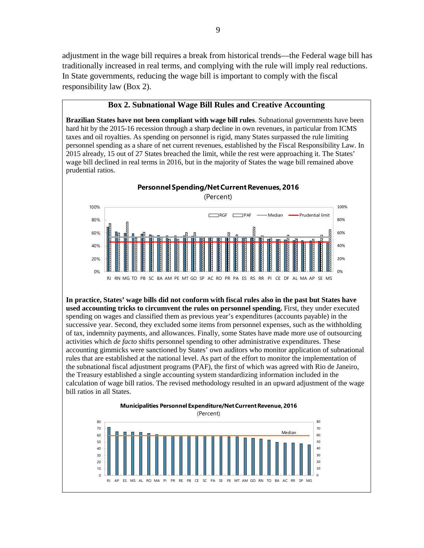adjustment in the wage bill requires a break from historical trends—the Federal wage bill has traditionally increased in real terms, and complying with the rule will imply real reductions. In State governments, reducing the wage bill is important to comply with the fiscal responsibility law (Box 2).

#### **Box 2. Subnational Wage Bill Rules and Creative Accounting**

**Brazilian States have not been compliant with wage bill rules**. Subnational governments have been hard hit by the 2015-16 recession through a sharp decline in own revenues, in particular from ICMS taxes and oil royalties. As spending on personnel is rigid, many States surpassed the rule limiting personnel spending as a share of net current revenues, established by the Fiscal Responsibility Law. In 2015 already, 15 out of 27 States breached the limit, while the rest were approaching it. The States' wage bill declined in real terms in 2016, but in the majority of States the wage bill remained above prudential ratios.

0% 20% 40% 60% 80% 100% 0% 20% 40% 60% 80% 100% **Personnel Spending/Net Current Revenues, 2016** (Percent) RGF **EXXXIPAF** - Median **- Prudential limit** 

RJ RN MG TO PB SC BA AM PE MT GO SP AC RO PR PA ES RS RR PI CE DF AL MA AP SE MS

**In practice, States' wage bills did not conform with fiscal rules also in the past but States have used accounting tricks to circumvent the rules on personnel spending.** First, they under executed spending on wages and classified them as previous year's expenditures (accounts payable) in the successive year. Second, they excluded some items from personnel expenses, such as the withholding of tax, indemnity payments, and allowances. Finally, some States have made more use of outsourcing activities which *de facto* shifts personnel spending to other administrative expenditures. These accounting gimmicks were sanctioned by States' own auditors who monitor application of subnational rules that are established at the national level. As part of the effort to monitor the implementation of the subnational fiscal adjustment programs (PAF), the first of which was agreed with Rio de Janeiro, the Treasury established a single accounting system standardizing information included in the calculation of wage bill ratios. The revised methodology resulted in an upward adjustment of the wage bill ratios in all States.

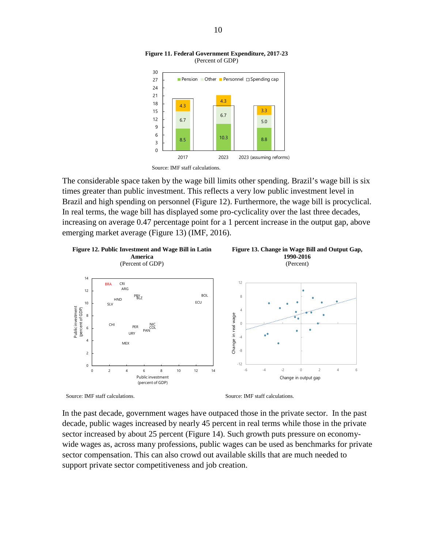



The considerable space taken by the wage bill limits other spending. Brazil's wage bill is six times greater than public investment. This reflects a very low public investment level in Brazil and high spending on personnel (Figure 12). Furthermore, the wage bill is procyclical. In real terms, the wage bill has displayed some pro-cyclicality over the last three decades, increasing on average 0.47 percentage point for a 1 percent increase in the output gap, above emerging market average (Figure 13) (IMF, 2016).



Source: IMF staff calculations. Source: IMF staff calculations.

In the past decade, government wages have outpaced those in the private sector. In the past decade, public wages increased by nearly 45 percent in real terms while those in the private sector increased by about 25 percent (Figure 14). Such growth puts pressure on economywide wages as, across many professions, public wages can be used as benchmarks for private sector compensation. This can also crowd out available skills that are much needed to support private sector competitiveness and job creation.

Source: IMF staff calculations.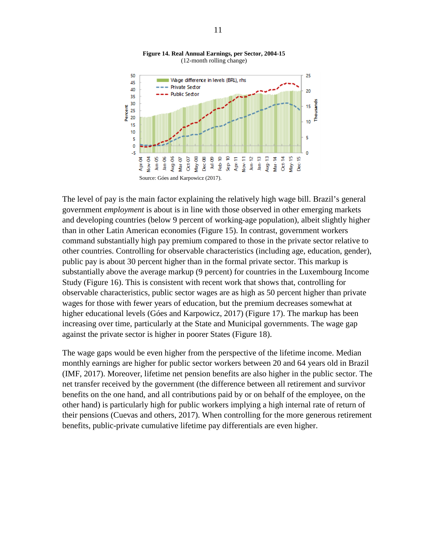

**Figure 14. Real Annual Earnings, per Sector, 2004-15** (12-month rolling change)

The level of pay is the main factor explaining the relatively high wage bill. Brazil's general government *employment* is about is in line with those observed in other emerging markets and developing countries (below 9 percent of working-age population), albeit slightly higher than in other Latin American economies (Figure 15). In contrast, government workers command substantially high pay premium compared to those in the private sector relative to other countries. Controlling for observable characteristics (including age, education, gender), public pay is about 30 percent higher than in the formal private sector. This markup is substantially above the average markup (9 percent) for countries in the Luxembourg Income Study (Figure 16). This is consistent with recent work that shows that, controlling for observable characteristics, public sector wages are as high as 50 percent higher than private wages for those with fewer years of education, but the premium decreases somewhat at higher educational levels (Góes and Karpowicz, 2017) (Figure 17). The markup has been increasing over time, particularly at the State and Municipal governments. The wage gap against the private sector is higher in poorer States (Figure 18).

The wage gaps would be even higher from the perspective of the lifetime income. Median monthly earnings are higher for public sector workers between 20 and 64 years old in Brazil (IMF, 2017). Moreover, lifetime net pension benefits are also higher in the public sector. The net transfer received by the government (the difference between all retirement and survivor benefits on the one hand, and all contributions paid by or on behalf of the employee, on the other hand) is particularly high for public workers implying a high internal rate of return of their pensions (Cuevas and others, 2017). When controlling for the more generous retirement benefits, public-private cumulative lifetime pay differentials are even higher.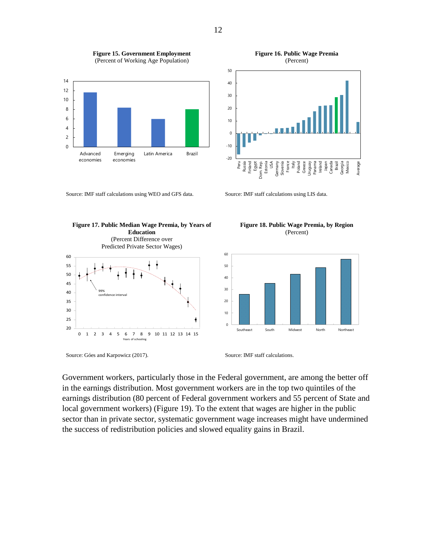

**Figure 15. Government Employment**  (Percent of Working Age Population)

Source: IMF staff calculations using WEO and GFS data. Source: IMF staff calculations using LIS data.



**Figure 16. Public Wage Premia** (Percent)

-20 -10  $\mathbf 0$ 10 Peru Russia Finland Egypt Dom. Rep. Estonia USA Germany Slovenia France  $\widehat{\mathbb{E}}$ Poland Greece Uruguay Panama Ireland Japan Canada Brazil Georgia Mexico Average



**Figure 18. Public Wage Premia, by Region** (Percent)



Source: Góes and Karpowicz (2017). Source: IMF staff calculations.

Government workers, particularly those in the Federal government, are among the better off in the earnings distribution. Most government workers are in the top two quintiles of the earnings distribution (80 percent of Federal government workers and 55 percent of State and local government workers) (Figure 19). To the extent that wages are higher in the public sector than in private sector, systematic government wage increases might have undermined the success of redistribution policies and slowed equality gains in Brazil.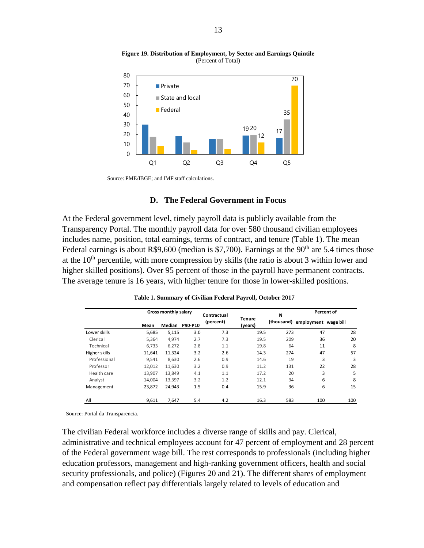

**Figure 19. Distribution of Employment, by Sector and Earnings Quintile**  (Percent of Total)

Source: PME/IBGE; and IMF staff calculations.

#### **D. The Federal Government in Focus**

At the Federal government level, timely payroll data is publicly available from the Transparency Portal. The monthly payroll data for over 580 thousand civilian employees includes name, position, total earnings, terms of contract, and tenure (Table 1). The mean Federal earnings is about R\$9,600 (median is \$7,700). Earnings at the  $90<sup>th</sup>$  are 5.4 times those at the  $10<sup>th</sup>$  percentile, with more compression by skills (the ratio is about 3 within lower and higher skilled positions). Over 95 percent of those in the payroll have permanent contracts. The average tenure is 16 years, with higher tenure for those in lower-skilled positions.

|               |        | Gross monthly salary<br>Contractual |         |           |                          | N   | Percent of                      |     |  |
|---------------|--------|-------------------------------------|---------|-----------|--------------------------|-----|---------------------------------|-----|--|
|               | Mean   | Median                              | P90-P10 | (percent) | <b>Tenure</b><br>(years) |     | (thousand) employment wage bill |     |  |
| Lower skills  | 5,685  | 5,115                               | 3.0     | 7.3       | 19.5                     | 273 | 47                              | 28  |  |
| Clerical      | 5,364  | 4,974                               | 2.7     | 7.3       | 19.5                     | 209 | 36                              | 20  |  |
| Technical     | 6,733  | 6,272                               | 2.8     | 1.1       | 19.8                     | 64  | 11                              | 8   |  |
| Higher skills | 11,641 | 11,324                              | 3.2     | 2.6       | 14.3                     | 274 | 47                              | 57  |  |
| Professional  | 9.541  | 8,630                               | 2.6     | 0.9       | 14.6                     | 19  | 3                               | 3   |  |
| Professor     | 12,012 | 11,630                              | 3.2     | 0.9       | 11.2                     | 131 | 22                              | 28  |  |
| Health care   | 13,907 | 13,849                              | 4.1     | 1.1       | 17.2                     | 20  | 3                               | 5   |  |
| Analyst       | 14,004 | 13,397                              | 3.2     | 1.2       | 12.1                     | 34  | 6                               | 8   |  |
| Management    | 23,872 | 24,943                              | 1.5     | 0.4       | 15.9                     | 36  | 6                               | 15  |  |
| All           | 9,611  | 7,647                               | 5.4     | 4.2       | 16.3                     | 583 | 100                             | 100 |  |

**Table 1. Summary of Civilian Federal Payroll, October 2017**

Source: [Portal da Transparencia.](http://www.portaltransparencia.gov.br/downloads/servidores.asp)

The civilian Federal workforce includes a diverse range of skills and pay. Clerical, administrative and technical employees account for 47 percent of employment and 28 percent of the Federal government wage bill. The rest corresponds to professionals (including higher education professors, management and high-ranking government officers, health and social security professionals, and police) (Figures 20 and 21). The different shares of employment and compensation reflect pay differentials largely related to levels of education and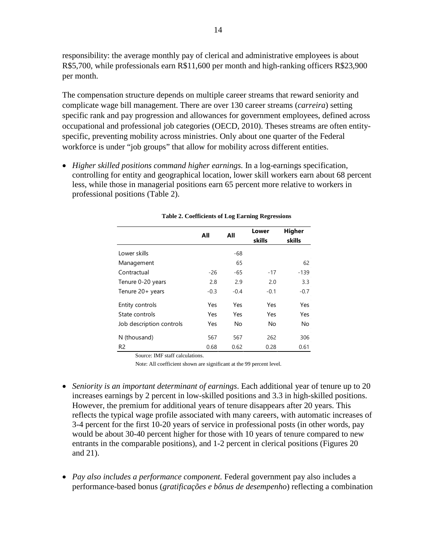responsibility: the average monthly pay of clerical and administrative employees is about R\$5,700, while professionals earn R\$11,600 per month and high-ranking officers R\$23,900 per month.

The compensation structure depends on multiple career streams that reward seniority and complicate wage bill management. There are over 130 career streams (*carreira*) setting specific rank and pay progression and allowances for government employees, defined across occupational and professional job categories (OECD, 2010). Theses streams are often entityspecific, preventing mobility across ministries. Only about one quarter of the Federal workforce is under "job groups" that allow for mobility across different entities.

• *Higher skilled positions command higher earnings*. In a log-earnings specification, controlling for entity and geographical location, lower skill workers earn about 68 percent less, while those in managerial positions earn 65 percent more relative to workers in professional positions (Table 2).

|                          | All    | All       | Lower<br>skills | <b>Higher</b><br>skills |
|--------------------------|--------|-----------|-----------------|-------------------------|
| Lower skills             |        | -68       |                 |                         |
| Management               |        | 65        |                 | 62                      |
| Contractual              | $-26$  | -65       | $-17$           | $-139$                  |
| Tenure 0-20 years        | 2.8    | 2.9       | 2.0             | 3.3                     |
| Tenure 20+ years         | $-0.3$ | $-0.4$    | $-0.1$          | $-0.7$                  |
| Entity controls          | Yes    | Yes       | Yes             | Yes                     |
| State controls           | Yes    | Yes       | Yes             | Yes                     |
| Job description controls | Yes    | <b>No</b> | No              | No                      |
| N (thousand)             | 567    | 567       | 262             | 306                     |
| R <sub>2</sub>           | 0.68   | 0.62      | 0.28            | 0.61                    |

**Table 2. Coefficients of Log Earning Regressions**

Source: IMF staff calculations.

Note: All coefficient shown are significant at the 99 percent level.

- *Seniority is an important determinant of earnings*. Each additional year of tenure up to 20 increases earnings by 2 percent in low-skilled positions and 3.3 in high-skilled positions. However, the premium for additional years of tenure disappears after 20 years. This reflects the typical wage profile associated with many careers, with automatic increases of 3-4 percent for the first 10-20 years of service in professional posts (in other words, pay would be about 30-40 percent higher for those with 10 years of tenure compared to new entrants in the comparable positions), and 1-2 percent in clerical positions (Figures 20 and 21).
- *Pay also includes a performance component*. Federal government pay also includes a performance-based bonus (*gratificações e bônus de desempenho*) reflecting a combination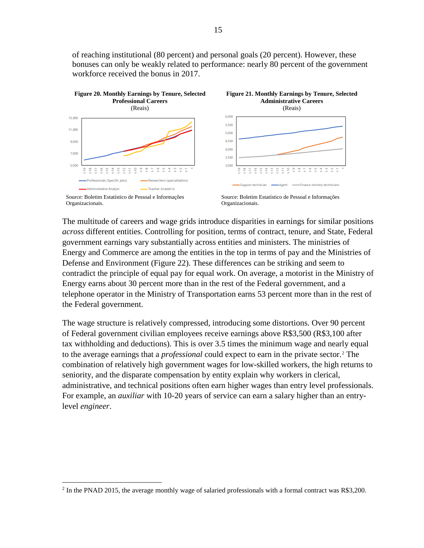of reaching institutional (80 percent) and personal goals (20 percent). However, these bonuses can only be weakly related to performance: nearly 80 percent of the government workforce received the bonus in 2017.



The multitude of careers and wage grids introduce disparities in earnings for similar positions *across* different entities. Controlling for position, terms of contract, tenure, and State, Federal government earnings vary substantially across entities and ministers. The ministries of Energy and Commerce are among the entities in the top in terms of pay and the Ministries of Defense and Environment (Figure 22). These differences can be striking and seem to contradict the principle of equal pay for equal work. On average, a motorist in the Ministry of Energy earns about 30 percent more than in the rest of the Federal government, and a telephone operator in the Ministry of Transportation earns 53 percent more than in the rest of the Federal government.

The wage structure is relatively compressed, introducing some distortions. Over 90 percent of Federal government civilian employees receive earnings above R\$3,500 (R\$3,100 after tax withholding and deductions). This is over 3.5 times the minimum wage and nearly equal to the average earnings that a *professional* could expect to earn in the private sector.[2](#page-15-0) The combination of relatively high government wages for low-skilled workers, the high returns to seniority, and the disparate compensation by entity explain why workers in clerical, administrative, and technical positions often earn higher wages than entry level professionals. For example, an *auxiliar* with 10-20 years of service can earn a salary higher than an entrylevel *engineer*.

<span id="page-15-0"></span><sup>&</sup>lt;sup>2</sup> In the PNAD 2015, the average monthly wage of salaried professionals with a formal contract was R\$3,200.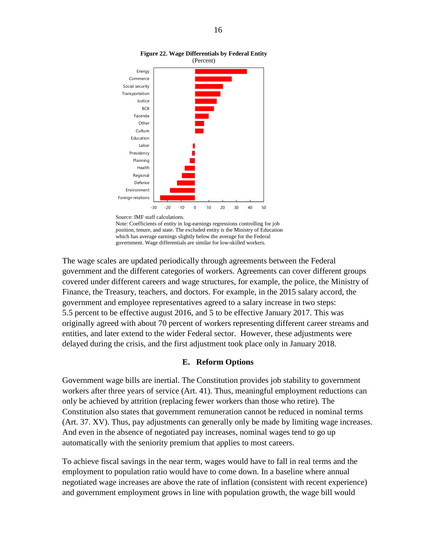

#### **Figure 22. Wage Differentials by Federal Entity** (Percent)

Note: Coefficients of entity in log-earnings regressions controlling for job position, tenure, and state. The excluded entity is the Ministry of Education which has average earnings slightly below the average for the Federal government. Wage differentials are similar for low-skilled workers.

The wage scales are updated periodically through agreements between the Federal government and the different categories of workers. Agreements can cover different groups covered under different careers and wage structures, for example, the police, the Ministry of Finance, the Treasury, teachers, and doctors. For example, in the 2015 salary accord, the government and employee representatives agreed to a salary increase in two steps: 5.5 percent to be effective august 2016, and 5 to be effective January 2017. This was originally agreed with about 70 percent of workers representing different career streams and entities, and later extend to the wider Federal sector. However, these adjustments were delayed during the crisis, and the first adjustment took place only in January 2018.

### **E. Reform Options**

Government wage bills are inertial. The Constitution provides job stability to government workers after three years of service (Art. 41). Thus, meaningful employment reductions can only be achieved by attrition (replacing fewer workers than those who retire). The Constitution also states that government remuneration cannot be reduced in nominal terms (Art. 37. XV). Thus, pay adjustments can generally only be made by limiting wage increases. And even in the absence of negotiated pay increases, nominal wages tend to go up automatically with the seniority premium that applies to most careers.

To achieve fiscal savings in the near term, wages would have to fall in real terms and the employment to population ratio would have to come down. In a baseline where annual negotiated wage increases are above the rate of inflation (consistent with recent experience) and government employment grows in line with population growth, the wage bill would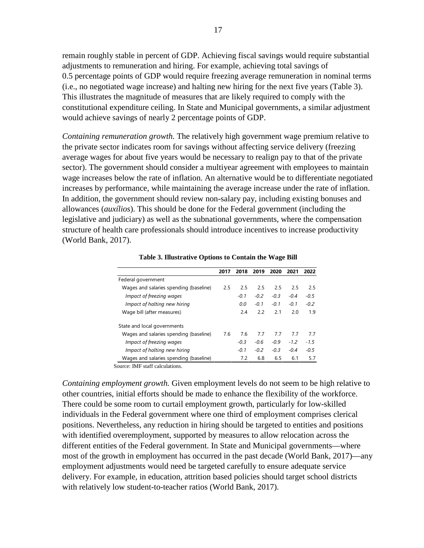remain roughly stable in percent of GDP. Achieving fiscal savings would require substantial adjustments to remuneration and hiring. For example, achieving total savings of 0.5 percentage points of GDP would require freezing average remuneration in nominal terms (i.e., no negotiated wage increase) and halting new hiring for the next five years (Table 3). This illustrates the magnitude of measures that are likely required to comply with the constitutional expenditure ceiling. In State and Municipal governments, a similar adjustment would achieve savings of nearly 2 percentage points of GDP.

*Containing remuneration growth.* The relatively high government wage premium relative to the private sector indicates room for savings without affecting service delivery (freezing average wages for about five years would be necessary to realign pay to that of the private sector). The government should consider a multiyear agreement with employees to maintain wage increases below the rate of inflation. An alternative would be to differentiate negotiated increases by performance, while maintaining the average increase under the rate of inflation. In addition, the government should review non-salary pay, including existing bonuses and allowances (*auxílios*). This should be done for the Federal government (including the legislative and judiciary) as well as the subnational governments, where the compensation structure of health care professionals should introduce incentives to increase productivity (World Bank, 2017).

**Table 3. Illustrative Options to Contain the Wage Bill**

|                                        | 2017 | 2018   | 2019   | 2020   | 2021   | 2022   |
|----------------------------------------|------|--------|--------|--------|--------|--------|
| Federal government                     |      |        |        |        |        |        |
| Wages and salaries spending (baseline) | 2.5  | 2.5    | 2.5    | 2.5    | 2.5    | 2.5    |
| Impact of freezing wages               |      | $-0.1$ | $-0.2$ | $-0.3$ | $-0.4$ | $-0.5$ |
| Impact of halting new hiring           |      | 0.0    | $-0.1$ | $-0.1$ | $-0.1$ | $-0.2$ |
| Wage bill (after measures)             |      | 2.4    | 2.2    | 2.1    | 2.0    | 1.9    |
| State and local governments            |      |        |        |        |        |        |
| Wages and salaries spending (baseline) | 7.6  | 7.6    | 7.7    | 7.7    | 7.7    | 7.7    |
| Impact of freezing wages               |      | $-0.3$ | $-0.6$ | $-0.9$ | $-1.2$ | $-1.5$ |
| Impact of halting new hiring           |      | $-0.1$ | $-0.2$ | $-0.3$ | $-0.4$ | $-0.5$ |
| Wages and salaries spending (baseline) |      | 7.2    | 6.8    | 6.5    | 6.1    | 5.7    |

Source: IMF staff calculations.

*Containing employment growth.* Given employment levels do not seem to be high relative to other countries, initial efforts should be made to enhance the flexibility of the workforce. There could be some room to curtail employment growth, particularly for low-skilled individuals in the Federal government where one third of employment comprises clerical positions. Nevertheless, any reduction in hiring should be targeted to entities and positions with identified overemployment, supported by measures to allow relocation across the different entities of the Federal government. In State and Municipal governments—where most of the growth in employment has occurred in the past decade (World Bank, 2017)—any employment adjustments would need be targeted carefully to ensure adequate service delivery. For example, in education, attrition based policies should target school districts with relatively low student-to-teacher ratios (World Bank, 2017).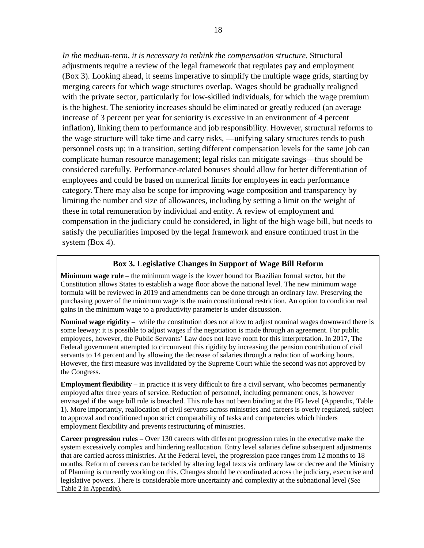*In the medium-term, it is necessary to rethink the compensation structure.* Structural adjustments require a review of the legal framework that regulates pay and employment (Box 3). Looking ahead, it seems imperative to simplify the multiple wage grids, starting by merging careers for which wage structures overlap. Wages should be gradually realigned with the private sector, particularly for low-skilled individuals, for which the wage premium is the highest. The seniority increases should be eliminated or greatly reduced (an average increase of 3 percent per year for seniority is excessive in an environment of 4 percent inflation), linking them to performance and job responsibility. However, structural reforms to the wage structure will take time and carry risks, —unifying salary structures tends to push personnel costs up; in a transition, setting different compensation levels for the same job can complicate human resource management; legal risks can mitigate savings—thus should be considered carefully. Performance-related bonuses should allow for better differentiation of employees and could be based on numerical limits for employees in each performance category. There may also be scope for improving wage composition and transparency by limiting the number and size of allowances, including by setting a limit on the weight of these in total remuneration by individual and entity. A review of employment and compensation in the judiciary could be considered, in light of the high wage bill, but needs to satisfy the peculiarities imposed by the legal framework and ensure continued trust in the system (Box 4).

#### **Box 3. Legislative Changes in Support of Wage Bill Reform**

**Minimum wage rule** – the minimum wage is the lower bound for Brazilian formal sector, but the Constitution allows States to establish a wage floor above the national level. The new minimum wage formula will be reviewed in 2019 and amendments can be done through an ordinary law. Preserving the purchasing power of the minimum wage is the main constitutional restriction. An option to condition real gains in the minimum wage to a productivity parameter is under discussion.

**Nominal wage rigidity** – while the constitution does not allow to adjust nominal wages downward there is some leeway: it is possible to adjust wages if the negotiation is made through an agreement. For public employees, however, the Public Servants' Law does not leave room for this interpretation. In 2017, The Federal government attempted to circumvent this rigidity by increasing the pension contribution of civil servants to 14 percent and by allowing the decrease of salaries through a reduction of working hours. However, the first measure was invalidated by the Supreme Court while the second was not approved by the Congress.

**Employment flexibility** – in practice it is very difficult to fire a civil servant, who becomes permanently employed after three years of service. Reduction of personnel, including permanent ones, is however envisaged if the wage bill rule is breached. This rule has not been binding at the FG level (Appendix, Table 1). More importantly, reallocation of civil servants across ministries and careers is overly regulated, subject to approval and conditioned upon strict comparability of tasks and competencies which hinders employment flexibility and prevents restructuring of ministries.

**Career progression rules** – Over 130 careers with different progression rules in the executive make the system excessively complex and hindering reallocation. Entry level salaries define subsequent adjustments that are carried across ministries. At the Federal level, the progression pace ranges from 12 months to 18 months. Reform of careers can be tackled by altering legal texts via ordinary law or decree and the Ministry of Planning is currently working on this. Changes should be coordinated across the judiciary, executive and legislative powers. There is considerable more uncertainty and complexity at the subnational level (See Table 2 in Appendix).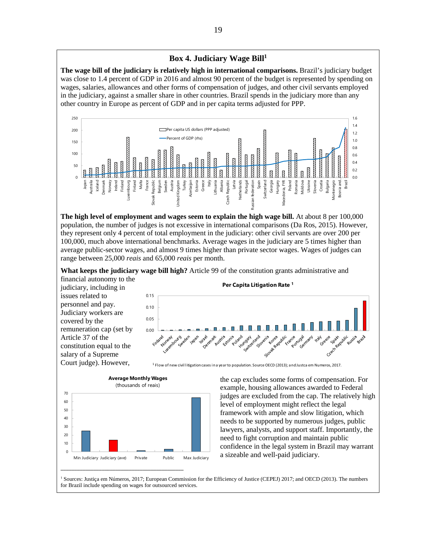#### **Box 4. Judiciary Wage Bill1**

**The wage bill of the judiciary is relatively high in international comparisons.** Brazil's judiciary budget was close to 1.4 percent of GDP in 2016 and almost 90 percent of the budget is represented by spending on wages, salaries, allowances and other forms of compensation of judges, and other civil servants employed in the judiciary, against a smaller share in other countries. Brazil spends in the judiciary more than any other country in Europe as percent of GDP and in per capita terms adjusted for PPP.



**The high level of employment and wages seem to explain the high wage bill.** At about 8 per 100,000 population, the number of judges is not excessive in international comparisons (Da Ros, 2015). However, they represent only 4 percent of total employment in the judiciary: other civil servants are over 200 per 100,000, much above international benchmarks. Average wages in the judiciary are 5 times higher than average public-sector wages, and almost 9 times higher than private sector wages. Wages of judges can range between 25,000 *reais* and 65,000 *reais* per month.

**What keeps the judiciary wage bill high?** Article 99 of the constitution grants administrative and

financial autonomy to the judiciary, including in issues related to personnel and pay. Judiciary workers are covered by the remuneration cap (set by Article 37 of the constitution equal to the salary of a Supreme Court judge). However,





<sup>1</sup> Flow of new civil litigation cases in a year to population. Source OECD (2013); and Justca em Numeros, 2017.

the cap excludes some forms of compensation. For example, housing allowances awarded to Federal judges are excluded from the cap. The relatively high level of employment might reflect the legal framework with ample and slow litigation, which needs to be supported by numerous judges, public lawyers, analysts, and support staff. Importantly, the need to fight corruption and maintain public confidence in the legal system in Brazil may warrant a sizeable and well-paid judiciary.

<sup>1</sup> Sources: Justiça em Números, 2017; European Commission for the Efficiency of Justice (CEPEJ) 2017; and OECD (2013). The numbers for Brazil include spending on wages for outsourced services.

**Per Capita Litigation Rate 1**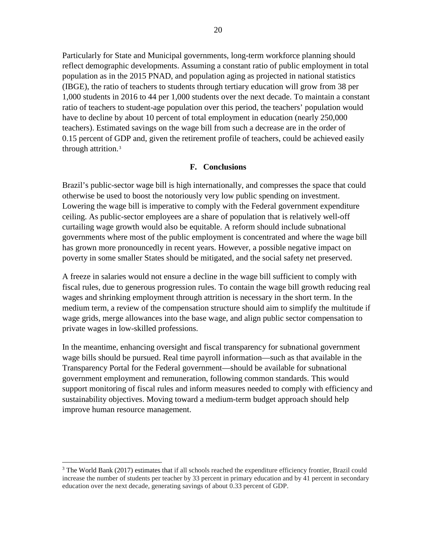Particularly for State and Municipal governments, long-term workforce planning should reflect demographic developments. Assuming a constant ratio of public employment in total population as in the 2015 PNAD, and population aging as projected in national statistics (IBGE), the ratio of teachers to students through tertiary education will grow from 38 per 1,000 students in 2016 to 44 per 1,000 students over the next decade. To maintain a constant ratio of teachers to student-age population over this period, the teachers' population would have to decline by about 10 percent of total employment in education (nearly 250,000 teachers). Estimated savings on the wage bill from such a decrease are in the order of 0.15 percent of GDP and, given the retirement profile of teachers, could be achieved easily through attrition.<sup>[3](#page-20-0)</sup>

#### **F. Conclusions**

Brazil's public-sector wage bill is high internationally, and compresses the space that could otherwise be used to boost the notoriously very low public spending on investment. Lowering the wage bill is imperative to comply with the Federal government expenditure ceiling. As public-sector employees are a share of population that is relatively well-off curtailing wage growth would also be equitable. A reform should include subnational governments where most of the public employment is concentrated and where the wage bill has grown more pronouncedly in recent years. However, a possible negative impact on poverty in some smaller States should be mitigated, and the social safety net preserved.

A freeze in salaries would not ensure a decline in the wage bill sufficient to comply with fiscal rules, due to generous progression rules. To contain the wage bill growth reducing real wages and shrinking employment through attrition is necessary in the short term. In the medium term, a review of the compensation structure should aim to simplify the multitude if wage grids, merge allowances into the base wage, and align public sector compensation to private wages in low-skilled professions.

In the meantime, enhancing oversight and fiscal transparency for subnational government wage bills should be pursued. Real time payroll information—such as that available in the Transparency Portal for the Federal government—should be available for subnational government employment and remuneration, following common standards. This would support monitoring of fiscal rules and inform measures needed to comply with efficiency and sustainability objectives. Moving toward a medium-term budget approach should help improve human resource management.

<span id="page-20-0"></span> $3$  The World Bank (2017) estimates that if all schools reached the expenditure efficiency frontier, Brazil could increase the number of students per teacher by 33 percent in primary education and by 41 percent in secondary education over the next decade, generating savings of about 0.33 percent of GDP.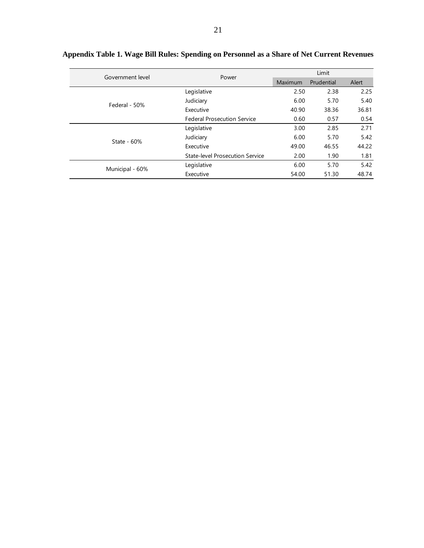| Government level | Power                                  | Limit          |            |       |  |
|------------------|----------------------------------------|----------------|------------|-------|--|
|                  |                                        | <b>Maximum</b> | Prudential | Alert |  |
|                  | Legislative                            | 2.50           | 2.38       | 2.25  |  |
| Federal - 50%    | Judiciary                              | 6.00           | 5.70       | 5.40  |  |
|                  | Executive                              | 40.90          | 38.36      | 36.81 |  |
|                  | <b>Federal Prosecution Service</b>     | 0.60           | 0.57       | 0.54  |  |
|                  | Legislative                            | 3.00           | 2.85       | 2.71  |  |
| State - $60%$    | Judiciary                              | 6.00           | 5.70       | 5.42  |  |
|                  | Executive                              | 49.00          | 46.55      | 44.22 |  |
|                  | <b>State-level Prosecution Service</b> | 2.00           | 1.90       | 1.81  |  |
|                  | Legislative                            | 6.00           | 5.70       | 5.42  |  |
| Municipal - 60%  | Executive                              | 54.00          | 51.30      | 48.74 |  |

|  |  |  |  | Appendix Table 1. Wage Bill Rules: Spending on Personnel as a Share of Net Current Revenues |  |
|--|--|--|--|---------------------------------------------------------------------------------------------|--|
|  |  |  |  |                                                                                             |  |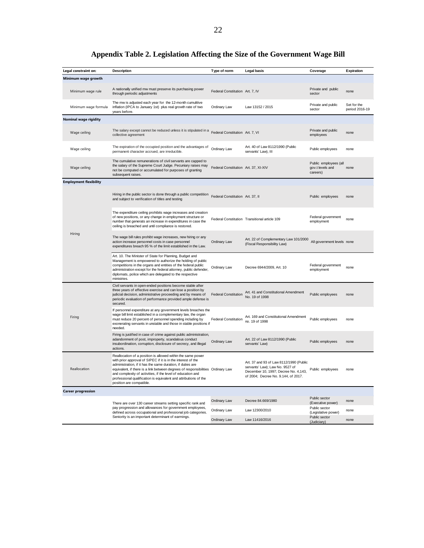| Legal constraint on:          | <b>Description</b>                                                                                                                                                                                                                                                                                                                                                                                                                          | Type of norm                         | <b>Legal basis</b>                                                                                                                                        | Coverage                                              | Expiration                    |
|-------------------------------|---------------------------------------------------------------------------------------------------------------------------------------------------------------------------------------------------------------------------------------------------------------------------------------------------------------------------------------------------------------------------------------------------------------------------------------------|--------------------------------------|-----------------------------------------------------------------------------------------------------------------------------------------------------------|-------------------------------------------------------|-------------------------------|
| Minimum wage growth           |                                                                                                                                                                                                                                                                                                                                                                                                                                             |                                      |                                                                                                                                                           |                                                       |                               |
|                               |                                                                                                                                                                                                                                                                                                                                                                                                                                             |                                      |                                                                                                                                                           |                                                       |                               |
| Minimum wage rule             | A nationally unified mw must preserve its purchasing power<br>through periodic adjustments                                                                                                                                                                                                                                                                                                                                                  | Federal Constitution Art. 7, IV      |                                                                                                                                                           | Private and public<br>sector                          | none                          |
| Minimum wage formula          | The mw is adjusted each year for the 12-month cumulitive<br>inflation (IPCA to January 1st) plus real growth rate of two<br>years before.                                                                                                                                                                                                                                                                                                   | Ordinary Law                         | Law 13152 / 2015                                                                                                                                          | Private and public<br>sector                          | Set for the<br>period 2016-19 |
| Nominal wage rigidity         |                                                                                                                                                                                                                                                                                                                                                                                                                                             |                                      |                                                                                                                                                           |                                                       |                               |
| Wage ceiling                  | The salary except cannot be reduced unless it is stipulated in a<br>collective agreement                                                                                                                                                                                                                                                                                                                                                    | Federal Constitution Art. 7, VI      |                                                                                                                                                           | Private and public<br>employees                       | none                          |
| Wage ceiling                  | The expiration of the occupied position and the advantages of<br>permanent character accrued, are irreducible.                                                                                                                                                                                                                                                                                                                              | Ordinary Law                         | Art. 40 of Law 8112/1990 (Public<br>servants' Law), III                                                                                                   | Public employees                                      | none                          |
| Wage ceiling                  | The cumulative remunerations of civil servants are capped to<br>the salary of the Supreme Court Judge. Pecuniary raises may<br>not be computed or accumulated for purposes of granting<br>subsequent raises.                                                                                                                                                                                                                                | Federal Constitution Art. 37, XI-XIV |                                                                                                                                                           | Public employees (all<br>gov.t levels and<br>careers) | none                          |
| <b>Employment flexibility</b> |                                                                                                                                                                                                                                                                                                                                                                                                                                             |                                      |                                                                                                                                                           |                                                       |                               |
|                               | Hiring in the public sector is done through a public competition<br>and subject to verification of titles and testing                                                                                                                                                                                                                                                                                                                       | Federal Constitution Art. 37, II     |                                                                                                                                                           | Public employees                                      | none                          |
| Hiring                        | The expenditure ceiling prohibits wage increases and creation<br>of new positions, or any change in employment structure or<br>number that generats an increase in expenditures in case the<br>ceiling is breached and until compliance is restored.                                                                                                                                                                                        |                                      | Federal Constitution Transitional article 109                                                                                                             | Federal government<br>employment                      | none                          |
|                               | The wage bill rules prohibt wage increases, new hiring or any<br>action increase personnel costs in case personnel<br>expenditures breach 95 % of the limit established in the Law.                                                                                                                                                                                                                                                         | Ordinary Law                         | Art. 22 of Complementary Law 101/2000<br>(Fiscal Responsibility Law)                                                                                      | All government levels none                            |                               |
|                               | Art. 10. The Minister of State for Planning, Budget and<br>Management is empowered to authorize the holding of public<br>competitions in the organs and entities of the federal public<br>administration except for the federal attorney, public defender,<br>diplomats, police which are delegated to the respective<br>ministries.                                                                                                        | Ordinary Law                         | Decree 6944/2009, Art. 10                                                                                                                                 | Federal government<br>employment                      | none                          |
|                               | Civil servants in open-ended positions become stable after<br>three years of effective exercise and can lose a position by<br>judicial decision, administrative proceeding and by means of<br>periodic evaluation of performance provided ample defense is<br>secured.                                                                                                                                                                      | <b>Federal Constitution</b>          | Art. 41 and Constitutional Amendment<br>No. 19 of 1998                                                                                                    | Public employees                                      | none                          |
| Firing                        | If personnel expenditure at any government levels breaches the<br>wage bill limit established in a complementary law, the organ<br>must reduce 20 percent of personnel spending including by<br>exonerating servants in unstable and those in stable positions if<br>needed.                                                                                                                                                                | Federal Constitution                 | Art. 169 and Constitutional Amendment<br>no. 19 of 1998                                                                                                   | Public employees                                      | none                          |
|                               | Firing is justified in case of crime against public administration,<br>adandonment of post, improperty, scandalous conduct<br>insubordination, corruption, disclosure of secrecy, and illegal<br>actions.                                                                                                                                                                                                                                   | Ordinary Law                         | Art. 22 of Law 8112/1990 (Public<br>servants' Law)                                                                                                        | Public employees                                      | none                          |
| Reallocation                  | Reallocation of a position is allowed within the same power<br>with prior approval of SIPEC if it is in the interest of the<br>administration, if it has the same duration, if duties are<br>equivalent, if there is a link between degrees of responsibilities Ordinary Law<br>and complexity of activities, if the level of education and<br>professional qualification is equivalent and attributions of the<br>position are compatible. |                                      | Art. 37 and 93 of Law 8112/1990 (Public<br>servants' Law); Law No. 9527 of<br>December 10, 1997; Decree No. 4,143,<br>of 2004; Decree No. 9.144, of 2017. | Public employees                                      | none                          |
| <b>Career progression</b>     |                                                                                                                                                                                                                                                                                                                                                                                                                                             |                                      |                                                                                                                                                           |                                                       |                               |
|                               | There are over 130 career streams setting specific rank and                                                                                                                                                                                                                                                                                                                                                                                 | Ordinary Law                         | Decree 84.669/1980                                                                                                                                        | Public sector<br>(Executive power)                    | none                          |
|                               | pay progression and allowances for government employees,<br>defined across occupational and professional job categories.                                                                                                                                                                                                                                                                                                                    | Ordinary Law                         | Law 12300/2010                                                                                                                                            | Public sector<br>(Legislative power)                  | none                          |
|                               | Seniority is an important determinant of earmings.                                                                                                                                                                                                                                                                                                                                                                                          | Ordinary Law                         | Law 11416/2016                                                                                                                                            | Public sector<br>(Judiciary)                          | none                          |

# **Appendix Table 2. Legislation Affecting the Size of the Government Wage Bill**